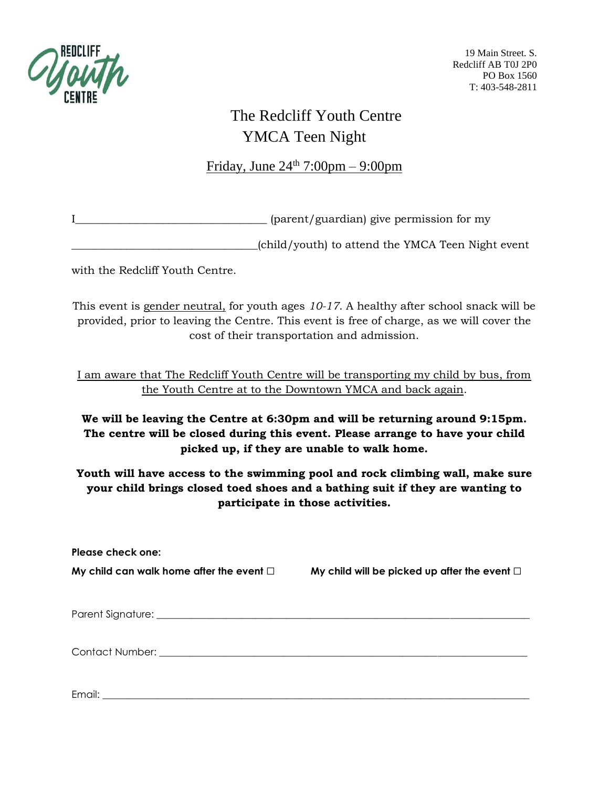

19 Main Street. S. Redcliff AB T0J 2P0 PO Box 1560 T: 403-548-2811

## The Redcliff Youth Centre YMCA Teen Night

## Friday, June  $24<sup>th</sup>$  7:00pm – 9:00pm

I\_\_\_\_\_\_\_\_\_\_\_\_\_\_\_\_\_\_\_\_\_\_\_\_\_\_\_\_\_\_\_\_\_\_\_ (parent/guardian) give permission for my

\_\_\_\_\_\_\_\_\_\_\_\_\_\_\_\_\_\_\_\_\_\_\_\_\_\_\_\_\_\_\_\_\_\_(child/youth) to attend the YMCA Teen Night event

with the Redcliff Youth Centre.

This event is gender neutral, for youth ages *10-17*. A healthy after school snack will be provided, prior to leaving the Centre. This event is free of charge, as we will cover the cost of their transportation and admission.

I am aware that The Redcliff Youth Centre will be transporting my child by bus, from the Youth Centre at to the Downtown YMCA and back again.

## **We will be leaving the Centre at 6:30pm and will be returning around 9:15pm. The centre will be closed during this event. Please arrange to have your child picked up, if they are unable to walk home.**

**Youth will have access to the swimming pool and rock climbing wall, make sure your child brings closed toed shoes and a bathing suit if they are wanting to participate in those activities.** 

**Please check one: My child can walk home after the event** ☐ **My child will be picked up after the event** ☐ Parent Signature: **Example 2018** Contact Number:  $\blacksquare$ 

Email: \_\_\_\_\_\_\_\_\_\_\_\_\_\_\_\_\_\_\_\_\_\_\_\_\_\_\_\_\_\_\_\_\_\_\_\_\_\_\_\_\_\_\_\_\_\_\_\_\_\_\_\_\_\_\_\_\_\_\_\_\_\_\_\_\_\_\_\_\_\_\_\_\_\_\_\_\_\_\_\_\_\_\_\_\_\_